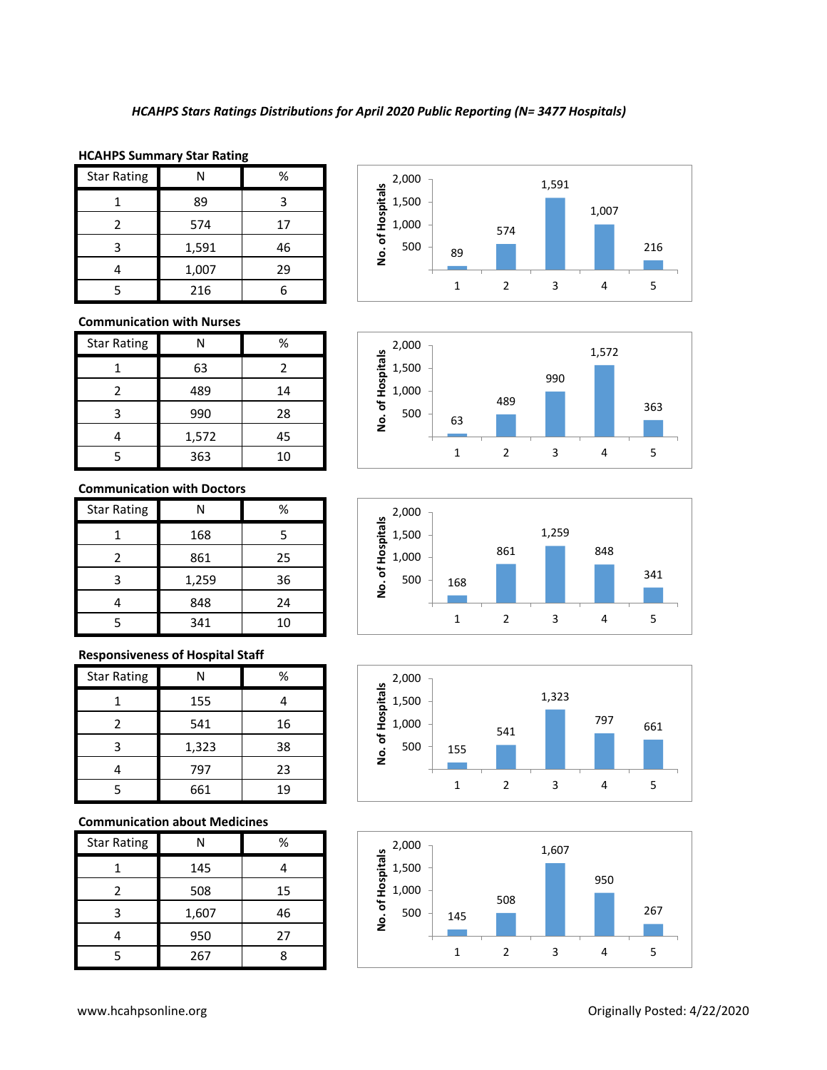# **HCAHPS Summary Star Rating**

| <b>Star Rating</b> |       | %  |
|--------------------|-------|----|
|                    | 89    |    |
| $\mathcal{P}$      | 574   | 17 |
| 3                  | 1,591 | 46 |
|                    | 1,007 | 29 |
|                    | 216   |    |











#### **Communication with Nurses**

| <b>Star Rating</b> | N     | %  |
|--------------------|-------|----|
|                    | 63    | 2  |
| 2                  | 489   | 14 |
| ₹                  | 990   | 28 |
|                    | 1,572 | 45 |
|                    | 363   | 10 |

### **Communication with Doctors**

| <b>Star Rating</b> | N     | %  |
|--------------------|-------|----|
|                    | 168   | 5  |
| $\mathcal{P}$      | 861   | 25 |
| 3                  | 1,259 | 36 |
|                    | 848   | 24 |
|                    | 341   | 10 |

### **Responsiveness of Hospital Staff**

| <b>Star Rating</b> | N     | %  |
|--------------------|-------|----|
|                    | 155   |    |
| 2                  | 541   | 16 |
| 3                  | 1,323 | 38 |
|                    | 797   | 23 |
|                    | 661   | 19 |

# **Communication about Medicines**

| <b>Star Rating</b> | Ν     | %  |
|--------------------|-------|----|
|                    | 145   |    |
| 2                  | 508   | 15 |
| 3                  | 1,607 | 46 |
|                    | 950   | 27 |
| ι.                 | 267   |    |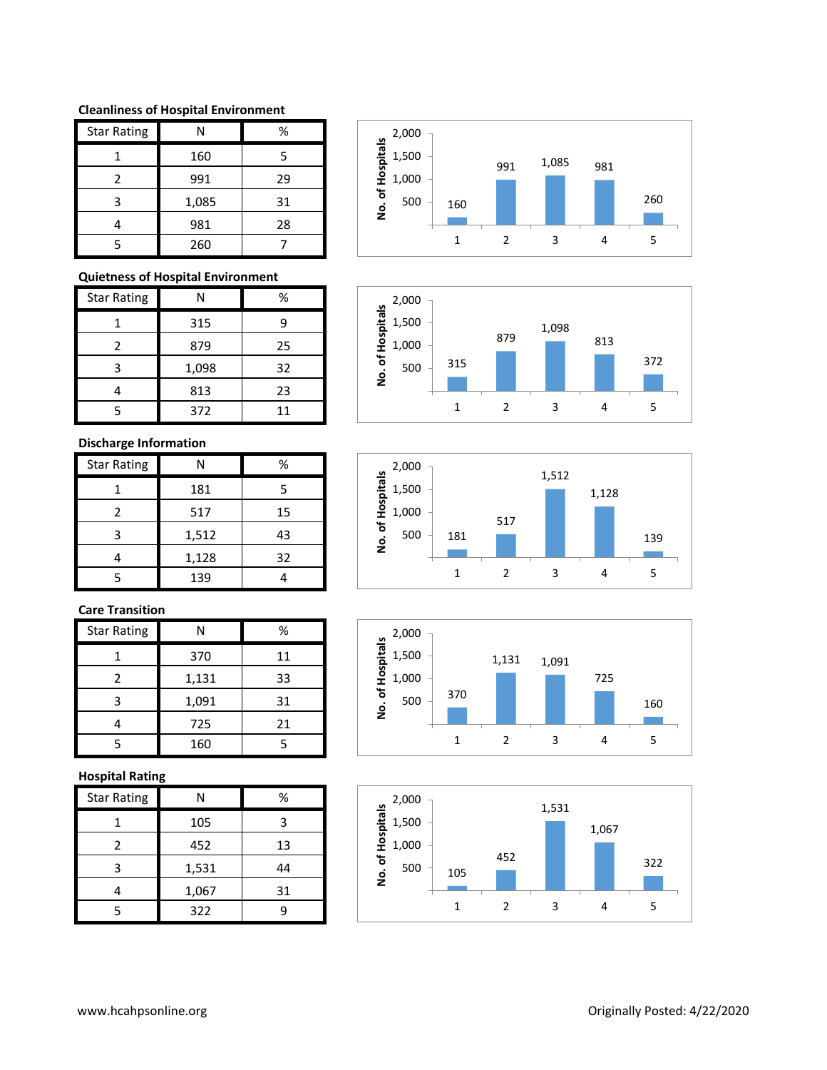#### **Cleanliness of Hospital Environment**

| <b>Star Rating</b> | N     | %  |
|--------------------|-------|----|
|                    | 160   | 5  |
| $\mathfrak z$      | 991   | 29 |
| 3                  | 1,085 | 31 |
|                    | 981   | 28 |
|                    | 260   |    |

# **Quietness of Hospital Environment**

| <b>Star Rating</b> | N     | %  |
|--------------------|-------|----|
|                    | 315   |    |
|                    | 879   | 25 |
| ੨                  | 1,098 | 32 |
|                    | 813   | 23 |
|                    | 372   | 11 |

# **Discharge Information**

| <b>Star Rating</b> | N     | %  |
|--------------------|-------|----|
|                    | 181   | 5  |
|                    | 517   | 15 |
| 3                  | 1,512 | 43 |
|                    | 1,128 | 32 |
|                    | 139   |    |

# **Care Transition**

| <b>Star Rating</b> | Ν     | %  |
|--------------------|-------|----|
|                    | 370   | 11 |
| 2                  | 1,131 | 33 |
| ੨                  | 1,091 | 31 |
|                    | 725   | 21 |
|                    | 160   |    |

### **Hospital Rating**

| <b>Star Rating</b> | Ν     | %  |
|--------------------|-------|----|
|                    | 105   | 3  |
| $\mathcal{P}$      | 452   | 13 |
| 3                  | 1,531 | 44 |
|                    | 1,067 | 31 |
|                    | 322   |    |